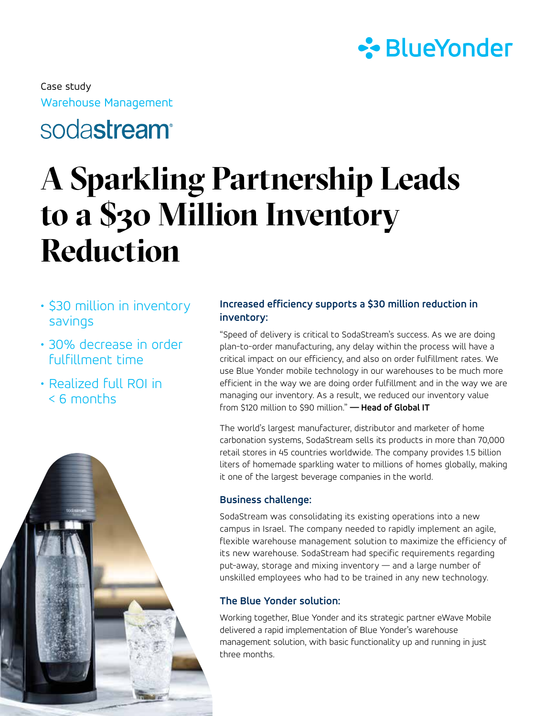

Warehouse Management Case study

## soda**stream**<sup>®</sup>

# **A Sparkling Partnership Leads to a \$30 Million Inventory Reduction**

- \$30 million in inventory savings
- 30% decrease in order fulfillment time
- Realized full ROI in < 6 months



#### **Increased efficiency supports a \$30 million reduction in inventory:**

"Speed of delivery is critical to SodaStream's success. As we are doing plan-to-order manufacturing, any delay within the process will have a critical impact on our efficiency, and also on order fulfillment rates. We use Blue Yonder mobile technology in our warehouses to be much more efficient in the way we are doing order fulfillment and in the way we are managing our inventory. As a result, we reduced our inventory value from \$120 million to \$90 million." **— Head of Global IT** 

The world's largest manufacturer, distributor and marketer of home carbonation systems, SodaStream sells its products in more than 70,000 retail stores in 45 countries worldwide. The company provides 1.5 billion liters of homemade sparkling water to millions of homes globally, making it one of the largest beverage companies in the world.

#### **Business challenge:**

SodaStream was consolidating its existing operations into a new campus in Israel. The company needed to rapidly implement an agile, flexible warehouse management solution to maximize the efficiency of its new warehouse. SodaStream had specific requirements regarding put-away, storage and mixing inventory — and a large number of unskilled employees who had to be trained in any new technology.

### **The Blue Yonder solution:**

Working together, Blue Yonder and its strategic partner eWave Mobile delivered a rapid implementation of Blue Yonder's warehouse management solution, with basic functionality up and running in just three months.